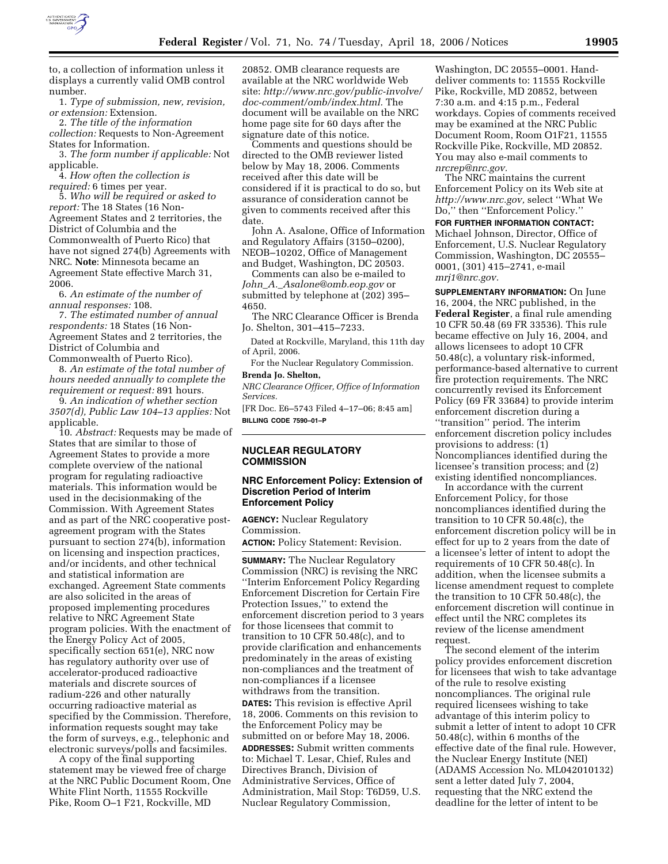

to, a collection of information unless it displays a currently valid OMB control number.

1. *Type of submission, new, revision, or extension:* Extension.

2. *The title of the information collection:* Requests to Non-Agreement States for Information.

3. *The form number if applicable:* Not applicable.

4. *How often the collection is required:* 6 times per year.

5. *Who will be required or asked to report:* The 18 States (16 Non-Agreement States and 2 territories, the District of Columbia and the Commonwealth of Puerto Rico) that have not signed 274(b) Agreements with NRC. **Note**: Minnesota became an Agreement State effective March 31, 2006.

6. *An estimate of the number of annual responses:* 108.

7. *The estimated number of annual respondents:* 18 States (16 Non-Agreement States and 2 territories, the District of Columbia and Commonwealth of Puerto Rico).

8. *An estimate of the total number of hours needed annually to complete the requirement or request:* 891 hours.

9. *An indication of whether section 3507(d), Public Law 104–13 applies:* Not applicable.

10. *Abstract:* Requests may be made of States that are similar to those of Agreement States to provide a more complete overview of the national program for regulating radioactive materials. This information would be used in the decisionmaking of the Commission. With Agreement States and as part of the NRC cooperative postagreement program with the States pursuant to section 274(b), information on licensing and inspection practices, and/or incidents, and other technical and statistical information are exchanged. Agreement State comments are also solicited in the areas of proposed implementing procedures relative to NRC Agreement State program policies. With the enactment of the Energy Policy Act of 2005, specifically section 651(e), NRC now has regulatory authority over use of accelerator-produced radioactive materials and discrete sources of radium-226 and other naturally occurring radioactive material as specified by the Commission. Therefore, information requests sought may take the form of surveys, e.g., telephonic and electronic surveys/polls and facsimiles.

A copy of the final supporting statement may be viewed free of charge at the NRC Public Document Room, One White Flint North, 11555 Rockville Pike, Room O–1 F21, Rockville, MD

20852. OMB clearance requests are available at the NRC worldwide Web site: *http://www.nrc.gov/public-involve/ doc-comment/omb/index.html.* The document will be available on the NRC home page site for 60 days after the signature date of this notice.

Comments and questions should be directed to the OMB reviewer listed below by May 18, 2006. Comments received after this date will be considered if it is practical to do so, but assurance of consideration cannot be given to comments received after this date.

John A. Asalone, Office of Information and Regulatory Affairs (3150–0200), NEOB–10202, Office of Management and Budget, Washington, DC 20503.

Comments can also be e-mailed to *John*\_*A.*\_*Asalone@omb.eop.gov* or submitted by telephone at (202) 395– 4650.

The NRC Clearance Officer is Brenda Jo. Shelton, 301–415–7233.

Dated at Rockville, Maryland, this 11th day of April, 2006.

For the Nuclear Regulatory Commission. **Brenda Jo. Shelton,** 

*NRC Clearance Officer, Office of Information Services.* 

[FR Doc. E6–5743 Filed 4–17–06; 8:45 am] **BILLING CODE 7590–01–P** 

### **NUCLEAR REGULATORY COMMISSION**

# **NRC Enforcement Policy: Extension of Discretion Period of Interim Enforcement Policy**

**AGENCY:** Nuclear Regulatory Commission.

**ACTION:** Policy Statement: Revision.

**SUMMARY:** The Nuclear Regulatory Commission (NRC) is revising the NRC ''Interim Enforcement Policy Regarding Enforcement Discretion for Certain Fire Protection Issues,'' to extend the enforcement discretion period to 3 years for those licensees that commit to transition to 10 CFR 50.48(c), and to provide clarification and enhancements predominately in the areas of existing non-compliances and the treatment of non-compliances if a licensee withdraws from the transition. **DATES:** This revision is effective April 18, 2006. Comments on this revision to the Enforcement Policy may be submitted on or before May 18, 2006. **ADDRESSES:** Submit written comments to: Michael T. Lesar, Chief, Rules and Directives Branch, Division of Administrative Services, Office of Administration, Mail Stop: T6D59, U.S. Nuclear Regulatory Commission,

Washington, DC 20555–0001. Handdeliver comments to: 11555 Rockville Pike, Rockville, MD 20852, between 7:30 a.m. and 4:15 p.m., Federal workdays. Copies of comments received may be examined at the NRC Public Document Room, Room O1F21, 11555 Rockville Pike, Rockville, MD 20852. You may also e-mail comments to *nrcrep@nrc.gov.* 

The NRC maintains the current Enforcement Policy on its Web site at *http://www.nrc.gov,* select ''What We Do,'' then ''Enforcement Policy.''

**FOR FURTHER INFORMATION CONTACT:**  Michael Johnson, Director, Office of Enforcement, U.S. Nuclear Regulatory Commission, Washington, DC 20555– 0001, (301) 415–2741, e-mail *mrj1@nrc.gov.* 

**SUPPLEMENTARY INFORMATION:** On June 16, 2004, the NRC published, in the **Federal Register**, a final rule amending 10 CFR 50.48 (69 FR 33536). This rule became effective on July 16, 2004, and allows licensees to adopt 10 CFR 50.48(c), a voluntary risk-informed, performance-based alternative to current fire protection requirements. The NRC concurrently revised its Enforcement Policy (69 FR 33684) to provide interim enforcement discretion during a ''transition'' period. The interim enforcement discretion policy includes provisions to address: (1) Noncompliances identified during the licensee's transition process; and  $\tilde{2}$ ) existing identified noncompliances.

In accordance with the current Enforcement Policy, for those noncompliances identified during the transition to 10 CFR 50.48(c), the enforcement discretion policy will be in effect for up to 2 years from the date of a licensee's letter of intent to adopt the requirements of 10 CFR 50.48(c). In addition, when the licensee submits a license amendment request to complete the transition to 10 CFR 50.48(c), the enforcement discretion will continue in effect until the NRC completes its review of the license amendment request.

The second element of the interim policy provides enforcement discretion for licensees that wish to take advantage of the rule to resolve existing noncompliances. The original rule required licensees wishing to take advantage of this interim policy to submit a letter of intent to adopt 10 CFR 50.48(c), within 6 months of the effective date of the final rule. However, the Nuclear Energy Institute (NEI) (ADAMS Accession No. ML042010132) sent a letter dated July 7, 2004, requesting that the NRC extend the deadline for the letter of intent to be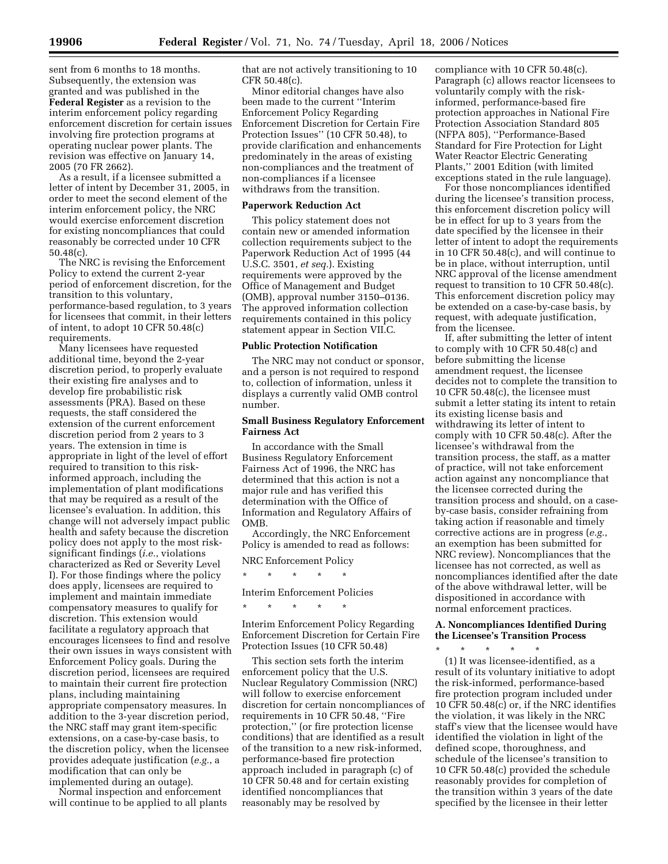sent from 6 months to 18 months. Subsequently, the extension was granted and was published in the **Federal Register** as a revision to the interim enforcement policy regarding enforcement discretion for certain issues involving fire protection programs at operating nuclear power plants. The revision was effective on January 14, 2005 (70 FR 2662).

As a result, if a licensee submitted a letter of intent by December 31, 2005, in order to meet the second element of the interim enforcement policy, the NRC would exercise enforcement discretion for existing noncompliances that could reasonably be corrected under 10 CFR 50.48(c).

The NRC is revising the Enforcement Policy to extend the current 2-year period of enforcement discretion, for the transition to this voluntary, performance-based regulation, to 3 years for licensees that commit, in their letters of intent, to adopt 10 CFR 50.48(c) requirements.

Many licensees have requested additional time, beyond the 2-year discretion period, to properly evaluate their existing fire analyses and to develop fire probabilistic risk assessments (PRA). Based on these requests, the staff considered the extension of the current enforcement discretion period from 2 years to 3 years. The extension in time is appropriate in light of the level of effort required to transition to this riskinformed approach, including the implementation of plant modifications that may be required as a result of the licensee's evaluation. In addition, this change will not adversely impact public health and safety because the discretion policy does not apply to the most risksignificant findings (*i.e.*, violations characterized as Red or Severity Level I). For those findings where the policy does apply, licensees are required to implement and maintain immediate compensatory measures to qualify for discretion. This extension would facilitate a regulatory approach that encourages licensees to find and resolve their own issues in ways consistent with Enforcement Policy goals. During the discretion period, licensees are required to maintain their current fire protection plans, including maintaining appropriate compensatory measures. In addition to the 3-year discretion period, the NRC staff may grant item-specific extensions, on a case-by-case basis, to the discretion policy, when the licensee provides adequate justification (*e.g.*, a modification that can only be implemented during an outage).

Normal inspection and enforcement will continue to be applied to all plants that are not actively transitioning to 10 CFR 50.48(c).

Minor editorial changes have also been made to the current ''Interim Enforcement Policy Regarding Enforcement Discretion for Certain Fire Protection Issues'' (10 CFR 50.48), to provide clarification and enhancements predominately in the areas of existing non-compliances and the treatment of non-compliances if a licensee withdraws from the transition.

#### **Paperwork Reduction Act**

This policy statement does not contain new or amended information collection requirements subject to the Paperwork Reduction Act of 1995 (44 U.S.C. 3501, *et seq.*). Existing requirements were approved by the Office of Management and Budget (OMB), approval number 3150–0136. The approved information collection requirements contained in this policy statement appear in Section VII.C.

### **Public Protection Notification**

The NRC may not conduct or sponsor, and a person is not required to respond to, collection of information, unless it displays a currently valid OMB control number.

# **Small Business Regulatory Enforcement Fairness Act**

In accordance with the Small Business Regulatory Enforcement Fairness Act of 1996, the NRC has determined that this action is not a major rule and has verified this determination with the Office of Information and Regulatory Affairs of OMB.

Accordingly, the NRC Enforcement Policy is amended to read as follows:

NRC Enforcement Policy

\* \* \* \* \* Interim Enforcement Policies

\* \* \* \* \*

Interim Enforcement Policy Regarding Enforcement Discretion for Certain Fire Protection Issues (10 CFR 50.48)

This section sets forth the interim enforcement policy that the U.S. Nuclear Regulatory Commission (NRC) will follow to exercise enforcement discretion for certain noncompliances of requirements in 10 CFR 50.48, ''Fire protection,'' (or fire protection license conditions) that are identified as a result of the transition to a new risk-informed, performance-based fire protection approach included in paragraph (c) of 10 CFR 50.48 and for certain existing identified noncompliances that reasonably may be resolved by

compliance with 10 CFR 50.48(c). Paragraph (c) allows reactor licensees to voluntarily comply with the riskinformed, performance-based fire protection approaches in National Fire Protection Association Standard 805 (NFPA 805), ''Performance-Based Standard for Fire Protection for Light Water Reactor Electric Generating Plants,'' 2001 Edition (with limited exceptions stated in the rule language).

For those noncompliances identified during the licensee's transition process, this enforcement discretion policy will be in effect for up to 3 years from the date specified by the licensee in their letter of intent to adopt the requirements in 10 CFR 50.48(c), and will continue to be in place, without interruption, until NRC approval of the license amendment request to transition to 10 CFR 50.48(c). This enforcement discretion policy may be extended on a case-by-case basis, by request, with adequate justification, from the licensee.

If, after submitting the letter of intent to comply with 10 CFR 50.48(c) and before submitting the license amendment request, the licensee decides not to complete the transition to 10 CFR 50.48(c), the licensee must submit a letter stating its intent to retain its existing license basis and withdrawing its letter of intent to comply with 10 CFR 50.48(c). After the licensee's withdrawal from the transition process, the staff, as a matter of practice, will not take enforcement action against any noncompliance that the licensee corrected during the transition process and should, on a caseby-case basis, consider refraining from taking action if reasonable and timely corrective actions are in progress (*e.g.*, an exemption has been submitted for NRC review). Noncompliances that the licensee has not corrected, as well as noncompliances identified after the date of the above withdrawal letter, will be dispositioned in accordance with normal enforcement practices.

# **A. Noncompliances Identified During the Licensee's Transition Process**  \* \* \* \* \*

(1) It was licensee-identified, as a result of its voluntary initiative to adopt the risk-informed, performance-based fire protection program included under 10 CFR 50.48(c) or, if the NRC identifies the violation, it was likely in the NRC staff's view that the licensee would have identified the violation in light of the defined scope, thoroughness, and schedule of the licensee's transition to 10 CFR 50.48(c) provided the schedule reasonably provides for completion of the transition within 3 years of the date specified by the licensee in their letter